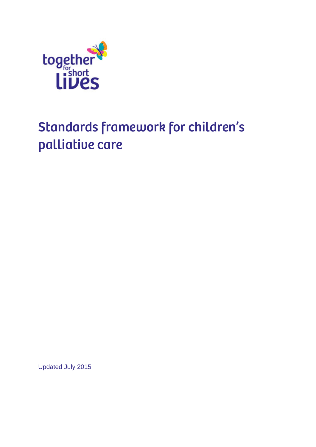

# Standards framework for children's palliative care

Updated July 2015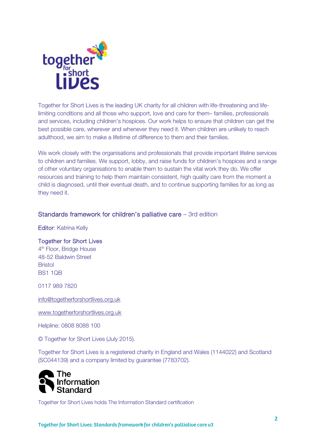

Together for Short Lives is the leading UK charity for all children with life-threatening and lifelimiting conditions and all those who support, love and care for them– families, professionals and services, including children's hospices. Our work helps to ensure that children can get the best possible care, wherever and whenever they need it. When children are unlikely to reach adulthood, we aim to make a lifetime of difference to them and their families.

We work closely with the organisations and professionals that provide important lifeline services to children and families. We support, lobby, and raise funds for children's hospices and a range of other voluntary organisations to enable them to sustain the vital work they do. We offer resources and training to help them maintain consistent, high quality care from the moment a child is diagnosed, until their eventual death, and to continue supporting families for as long as they need it.

### Standards framework for children's palliative care – 3rd edition

Editor: Katrina Kelly

### Together for Short Lives

4<sup>th</sup> Floor, Bridge House 48-52 Baldwin Street Bristol BS1 1QB

0117 989 7820

info@togetherforshortlives.org.uk

www.togetherforshortlives.org.uk

Helpline: 0808 8088 100

© Together for Short Lives (July 2015).

Together for Short Lives is a registered charity in England and Wales (1144022) and Scotland (SC044139) and a company limited by guarantee (7783702).



Together for Short Lives holds The Information Standard certification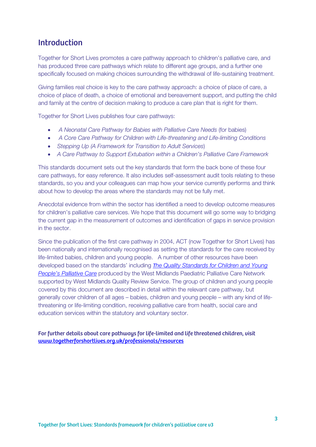### **Introduction**

Together for Short Lives promotes a care pathway approach to children's palliative care, and has produced three care pathways which relate to different age groups, and a further one specifically focused on making choices surrounding the withdrawal of life-sustaining treatment.

Giving families real choice is key to the care pathway approach: a choice of place of care, a choice of place of death, a choice of emotional and bereavement support, and putting the child and family at the centre of decision making to produce a care plan that is right for them.

Together for Short Lives publishes four care pathways:

- A Neonatal Care Pathway for Babies with Palliative Care Needs (for babies)
- A Core Care Pathway for Children with Life-threatening and Life-limiting Conditions
- Stepping Up (A Framework for Transition to Adult Services)
- A Care Pathway to Support Extubation within a Children's Palliative Care Framework

This standards document sets out the key standards that form the back bone of these four care pathways, for easy reference. It also includes self-assessment audit tools relating to these standards, so you and your colleagues can map how your service currently performs and think about how to develop the areas where the standards may not be fully met.

Anecdotal evidence from within the sector has identified a need to develop outcome measures for children's palliative care services. We hope that this document will go some way to bridging the current gap in the measurement of outcomes and identification of gaps in service provision in the sector.

Since the publication of the first care pathway in 2004, ACT (now Together for Short Lives) has been nationally and internationally recognised as setting the standards for the care received by life-limited babies, children and young people. A number of other resources have been developed based on the standards' including *T*he Quality Standards for Children and Young People's Palliative Care produced by the West Midlands Paediatric Palliative Care Network supported by West Midlands Quality Review Service. The group of children and young people covered by this document are described in detail within the relevant care pathway, but generally cover children of all ages – babies, children and young people – with any kind of lifethreatening or life-limiting condition, receiving palliative care from health, social care and education services within the statutory and voluntary sector.

### For further details about care pathways for life-limited and life threatened children, visit www.togetherforshortlives.org.uk/professionals/resources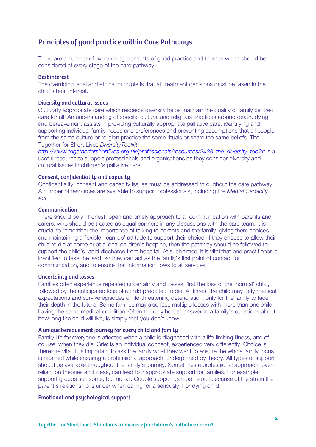### Principles of good practice within Care Pathways

There are a number of overarching elements of good practice and themes which should be considered at every stage of the care pathway.

#### Best interest

The overriding legal and ethical principle is that all treatment decisions must be taken in the child's best interest.

### Diversity and cultural issues

Culturally appropriate care which respects diversity helps maintain the quality of family centred care for all. An understanding of specific cultural and religious practices around death, dying and bereavement assists in providing culturally appropriate palliative care, identifying and supporting individual family needs and preferences and preventing assumptions that all people from the same culture or religion practice the same rituals or share the same beliefs. The Together for Short Lives DiversityToolkit

http://www.togetherforshortlives.org.uk/professionals/resources/2438\_the\_diversity\_toolkit is a useful resource to support professionals and organisations as they consider diversity and cultural issues in children's palliative care.

### Consent, confidentiality and capacity

Confidentiality, consent and capacity issues must be addressed throughout the care pathway. A number of resources are available to support professionals, including the Mental Capacity Act

#### Communication

There should be an honest, open and timely approach to all communication with parents and carers, who should be treated as equal partners in any discussions with the care team. It is crucial to remember the importance of talking to parents and the family, giving them choices and maintaining a flexible, 'can-do' attitude to support their choice. If they choose to allow their child to die at home or at a local children's hospice, then the pathway should be followed to support the child's rapid discharge from hospital. At such times, it is vital that one practitioner is identified to take the lead, so they can act as the family's first point of contact for communication, and to ensure that information flows to all services.

#### Uncertainty and losses

Families often experience repeated uncertainty and losses: first the loss of the 'normal' child, followed by the anticipated loss of a child predicted to die. At times, the child may defy medical expectations and survive episodes of life-threatening deterioration, only for the family to face their death in the future. Some families may also face multiple losses with more than one child having the same medical condition. Often the only honest answer to a family's questions about how long the child will live, is simply that you don't know.

#### A unique bereavement journey for every child and family

Family life for everyone is affected when a child is diagnosed with a life-limiting illness, and of course, when they die. Grief is an individual concept, experienced very differently. Choice is therefore vital. It is important to ask the family what they want to ensure the whole family focus is retained while ensuring a professional approach, underpinned by theory. All types of support should be available throughout the family's journey. Sometimes a professional approach, overreliant on theories and ideas, can lead to inappropriate support for families. For example, support groups suit some, but not all. Couple support can be helpful because of the strain the parent's relationship is under when caring for a seriously ill or dying child.

#### Emotional and psychological support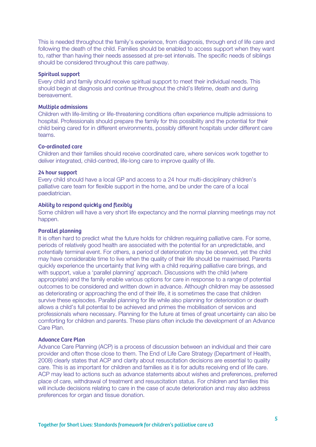This is needed throughout the family's experience, from diagnosis, through end of life care and following the death of the child. Families should be enabled to access support when they want to, rather than having their needs assessed at pre-set intervals. The specific needs of siblings should be considered throughout this care pathway.

#### Spiritual support

Every child and family should receive spiritual support to meet their individual needs. This should begin at diagnosis and continue throughout the child's lifetime, death and during bereavement.

#### Multiple admissions

Children with life-limiting or life-threatening conditions often experience multiple admissions to hospital. Professionals should prepare the family for this possibility and the potential for their child being cared for in different environments, possibly different hospitals under different care teams.

#### Co-ordinated care

Children and their families should receive coordinated care, where services work together to deliver integrated, child-centred, life-long care to improve quality of life.

### 24 hour support

Every child should have a local GP and access to a 24 hour multi-disciplinary children's palliative care team for flexible support in the home, and be under the care of a local paediatrician.

#### Ability to respond quickly and flexibly

Some children will have a very short life expectancy and the normal planning meetings may not happen.

#### Parallel planning

It is often hard to predict what the future holds for children requiring palliative care. For some, periods of relatively good health are associated with the potential for an unpredictable, and potentially terminal event. For others, a period of deterioration may be observed, yet the child may have considerable time to live when the quality of their life should be maximised. Parents quickly experience the uncertainty that living with a child requiring palliative care brings, and with support, value a 'parallel planning' approach. Discussions with the child (where appropriate) and the family enable various options for care in response to a range of potential outcomes to be considered and written down in advance. Although children may be assessed as deteriorating or approaching the end of their life, it is sometimes the case that children survive these episodes. Parallel planning for life while also planning for deterioration or death allows a child's full potential to be achieved and primes the mobilisation of services and professionals where necessary. Planning for the future at times of great uncertainty can also be comforting for children and parents. These plans often include the development of an Advance Care Plan.

#### Advance Care Plan

Advance Care Planning (ACP) is a process of discussion between an individual and their care provider and often those close to them. The End of Life Care Strategy (Department of Health, 2008) clearly states that ACP and clarity about resuscitation decisions are essential to quality care. This is as important for children and families as it is for adults receiving end of life care. ACP may lead to actions such as advance statements about wishes and preferences, preferred place of care, withdrawal of treatment and resuscitation status. For children and families this will include decisions relating to care in the case of acute deterioration and may also address preferences for organ and tissue donation.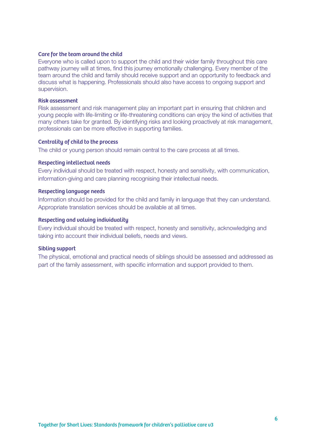#### Care for the team around the child

Everyone who is called upon to support the child and their wider family throughout this care pathway journey will at times, find this journey emotionally challenging. Every member of the team around the child and family should receive support and an opportunity to feedback and discuss what is happening. Professionals should also have access to ongoing support and supervision.

#### Risk assessment

Risk assessment and risk management play an important part in ensuring that children and young people with life-limiting or life-threatening conditions can enjoy the kind of activities that many others take for granted. By identifying risks and looking proactively at risk management, professionals can be more effective in supporting families.

#### Centrality of child to the process

The child or young person should remain central to the care process at all times.

#### Respecting intellectual needs

Every individual should be treated with respect, honesty and sensitivity, with communication, information-giving and care planning recognising their intellectual needs.

#### Respecting language needs

Information should be provided for the child and family in language that they can understand. Appropriate translation services should be available at all times.

#### Respecting and valuing individuality

Every individual should be treated with respect, honesty and sensitivity, acknowledging and taking into account their individual beliefs, needs and views.

#### Sibling support

The physical, emotional and practical needs of siblings should be assessed and addressed as part of the family assessment, with specific information and support provided to them.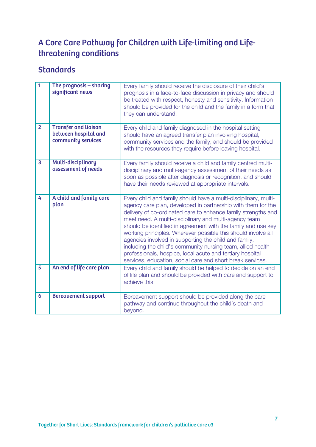## A Core Care Pathway for Children with Life-limiting and Lifethreatening conditions

| $\overline{1}$          | The prognosis - sharing<br>significant news                               | Every family should receive the disclosure of their child's<br>prognosis in a face-to-face discussion in privacy and should<br>be treated with respect, honesty and sensitivity. Information<br>should be provided for the child and the family in a form that<br>they can understand.                                                                                                                                                                                                                                                                                                                                                         |
|-------------------------|---------------------------------------------------------------------------|------------------------------------------------------------------------------------------------------------------------------------------------------------------------------------------------------------------------------------------------------------------------------------------------------------------------------------------------------------------------------------------------------------------------------------------------------------------------------------------------------------------------------------------------------------------------------------------------------------------------------------------------|
| $\overline{2}$          | <b>Transfer and liaison</b><br>between hospital and<br>community services | Every child and family diagnosed in the hospital setting<br>should have an agreed transfer plan involving hospital,<br>community services and the family, and should be provided<br>with the resources they require before leaving hospital.                                                                                                                                                                                                                                                                                                                                                                                                   |
| $\overline{\mathbf{3}}$ | <b>Multi-disciplinary</b><br>assessment of needs                          | Every family should receive a child and family centred multi-<br>disciplinary and multi-agency assessment of their needs as<br>soon as possible after diagnosis or recognition, and should<br>have their needs reviewed at appropriate intervals.                                                                                                                                                                                                                                                                                                                                                                                              |
| 4                       | A child and family care<br>plan                                           | Every child and family should have a multi-disciplinary, multi-<br>agency care plan, developed in partnership with them for the<br>delivery of co-ordinated care to enhance family strengths and<br>meet need. A multi-disciplinary and multi-agency team<br>should be identified in agreement with the family and use key<br>working principles. Wherever possible this should involve all<br>agencies involved in supporting the child and family,<br>including the child's community nursing team, allied health<br>professionals, hospice, local acute and tertiary hospital<br>services, education, social care and short break services. |
| $\overline{5}$          | An end of life care plan                                                  | Every child and family should be helped to decide on an end<br>of life plan and should be provided with care and support to<br>achieve this.                                                                                                                                                                                                                                                                                                                                                                                                                                                                                                   |
| 6                       | <b>Bereavement support</b>                                                | Bereavement support should be provided along the care<br>pathway and continue throughout the child's death and<br>beyond.                                                                                                                                                                                                                                                                                                                                                                                                                                                                                                                      |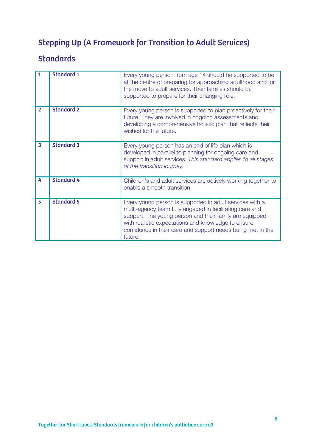## Stepping Up (A Framework for Transition to Adult Services)

| 1                       | <b>Standard 1</b> | Every young person from age 14 should be supported to be<br>at the centre of preparing for approaching adulthood and for<br>the move to adult services. Their families should be<br>supported to prepare for their changing role.                                                                                |
|-------------------------|-------------------|------------------------------------------------------------------------------------------------------------------------------------------------------------------------------------------------------------------------------------------------------------------------------------------------------------------|
| $\overline{2}$          | <b>Standard 2</b> | Every young person is supported to plan proactively for their<br>future. They are involved in ongoing assessments and<br>developing a comprehensive holistic plan that reflects their<br>wishes for the future.                                                                                                  |
| $\overline{\mathbf{3}}$ | <b>Standard 3</b> | Every young person has an end of life plan which is<br>developed in parallel to planning for ongoing care and<br>support in adult services. This standard applies to all stages<br>of the transition journey.                                                                                                    |
| 4                       | <b>Standard 4</b> | Children's and adult services are actively working together to<br>enable a smooth transition.                                                                                                                                                                                                                    |
| 5                       | <b>Standard 5</b> | Every young person is supported in adult services with a<br>multi-agency team fully engaged in facilitating care and<br>support. The young person and their family are equipped<br>with realistic expectations and knowledge to ensure<br>confidence in their care and support needs being met in the<br>future. |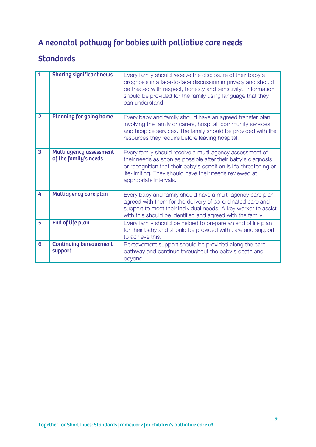## A neonatal pathway for babies with palliative care needs

| $\mathbf{1}$   | <b>Sharing significant news</b>                  | Every family should receive the disclosure of their baby's<br>prognosis in a face-to-face discussion in privacy and should<br>be treated with respect, honesty and sensitivity. Information<br>should be provided for the family using language that they<br>can understand.       |
|----------------|--------------------------------------------------|------------------------------------------------------------------------------------------------------------------------------------------------------------------------------------------------------------------------------------------------------------------------------------|
| $\overline{2}$ | <b>Planning for going home</b>                   | Every baby and family should have an agreed transfer plan<br>involving the family or carers, hospital, community services<br>and hospice services. The family should be provided with the<br>resources they require before leaving hospital.                                       |
| 3              | Multi agency assessment<br>of the family's needs | Every family should receive a multi-agency assessment of<br>their needs as soon as possible after their baby's diagnosis<br>or recognition that their baby's condition is life-threatening or<br>life-limiting. They should have their needs reviewed at<br>appropriate intervals. |
| 4              | Multiagency care plan                            | Every baby and family should have a multi-agency care plan<br>agreed with them for the delivery of co-ordinated care and<br>support to meet their individual needs. A key worker to assist<br>with this should be identified and agreed with the family.                           |
| 5              | <b>End of life plan</b>                          | Every family should be helped to prepare an end of life plan<br>for their baby and should be provided with care and support<br>to achieve this.                                                                                                                                    |
| 6              | <b>Continuing bereavement</b><br>support         | Bereavement support should be provided along the care<br>pathway and continue throughout the baby's death and<br>beyond.                                                                                                                                                           |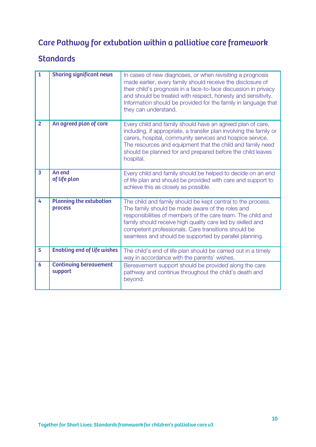## Care Pathway for extubation within a palliative care framework

| $\overline{1}$          | <b>Sharing significant news</b>           | In cases of new diagnoses, or when revisiting a prognosis<br>made earlier, every family should receive the disclosure of<br>their child's prognosis in a face-to-face discussion in privacy<br>and should be treated with respect, honesty and sensitivity.<br>Information should be provided for the family in language that<br>they can understand.         |
|-------------------------|-------------------------------------------|---------------------------------------------------------------------------------------------------------------------------------------------------------------------------------------------------------------------------------------------------------------------------------------------------------------------------------------------------------------|
| $\overline{2}$          | An agreed plan of care                    | Every child and family should have an agreed plan of care,<br>including, if appropriate, a transfer plan involving the family or<br>carers, hospital, community services and hospice service.<br>The resources and equipment that the child and family need<br>should be planned for and prepared before the child leaves<br>hospital.                        |
| $\overline{\mathbf{3}}$ | An end<br>of life plan                    | Every child and family should be helped to decide on an end<br>of life plan and should be provided with care and support to<br>achieve this as closely as possible.                                                                                                                                                                                           |
| 4                       | <b>Planning the extubation</b><br>process | The child and family should be kept central to the process.<br>The family should be made aware of the roles and<br>responsibilities of members of the care team. The child and<br>family should receive high quality care led by skilled and<br>competent professionals. Care transitions should be<br>seamless and should be supported by parallel planning. |
| $\overline{5}$          | <b>Enabling end of life wishes</b>        | The child's end of life plan should be carried out in a timely<br>way in accordance with the parents' wishes.                                                                                                                                                                                                                                                 |
| 6                       | <b>Continuing bereavement</b><br>support  | Bereavement support should be provided along the care<br>pathway and continue throughout the child's death and<br>beyond.                                                                                                                                                                                                                                     |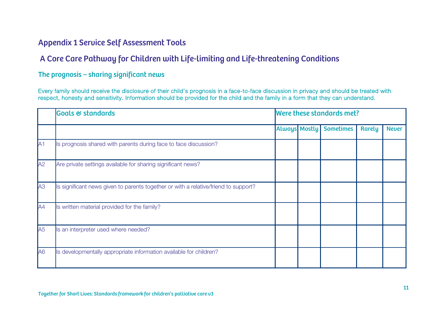## Appendix 1 Service Self Assessment Tools

## A Core Care Pathway for Children with Life-limiting and Life-threatening Conditions

### The prognosis – sharing significant news

Every family should receive the disclosure of their child's prognosis in a face-to-face discussion in privacy and should be treated with respect, honesty and sensitivity. Information should be provided for the child and the family in a form that they can understand.

|                | <b>Goals &amp; standards</b>                                                        | Were these standards met? |                      |                  |               |              |  |
|----------------|-------------------------------------------------------------------------------------|---------------------------|----------------------|------------------|---------------|--------------|--|
|                |                                                                                     |                           | <b>Always Mostly</b> | <b>Sometimes</b> | <b>Rarely</b> | <b>Never</b> |  |
| IA1            | Is prognosis shared with parents during face to face discussion?                    |                           |                      |                  |               |              |  |
| A2             | Are private settings available for sharing significant news?                        |                           |                      |                  |               |              |  |
| A3             | Is significant news given to parents together or with a relative/friend to support? |                           |                      |                  |               |              |  |
| AA             | Is written material provided for the family?                                        |                           |                      |                  |               |              |  |
| A5             | Is an interpreter used where needed?                                                |                           |                      |                  |               |              |  |
| A <sub>6</sub> | Is developmentally appropriate information available for children?                  |                           |                      |                  |               |              |  |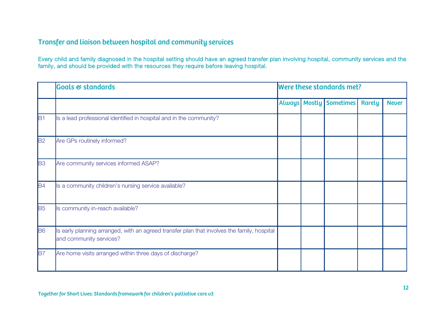### Transfer and liaison between hospital and community services

Every child and family diagnosed in the hospital setting should have an agreed transfer plan involving hospital, community services and the family, and should be provided with the resources they require before leaving hospital.

|           | <b>Goals &amp; standards</b>                                                                                           | Were these standards met?<br>Always Mostly<br><b>Sometimes</b> |  |  |               |              |
|-----------|------------------------------------------------------------------------------------------------------------------------|----------------------------------------------------------------|--|--|---------------|--------------|
|           |                                                                                                                        |                                                                |  |  | <b>Rarely</b> | <b>Never</b> |
| B1        | Is a lead professional identified in hospital and in the community?                                                    |                                                                |  |  |               |              |
| <b>B2</b> | Are GPs routinely informed?                                                                                            |                                                                |  |  |               |              |
| <b>B3</b> | Are community services informed ASAP?                                                                                  |                                                                |  |  |               |              |
| B4        | Is a community children's nursing service available?                                                                   |                                                                |  |  |               |              |
| <b>B5</b> | Is community in-reach available?                                                                                       |                                                                |  |  |               |              |
| <b>B6</b> | Is early planning arranged, with an agreed transfer plan that involves the family, hospital<br>and community services? |                                                                |  |  |               |              |
| <b>B7</b> | Are home visits arranged within three days of discharge?                                                               |                                                                |  |  |               |              |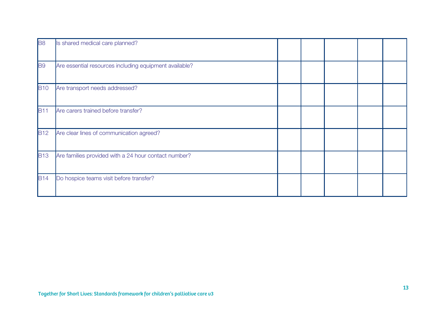| <b>B8</b>   | Is shared medical care planned?                        |  |  |  |
|-------------|--------------------------------------------------------|--|--|--|
| <b>B</b> 9  | Are essential resources including equipment available? |  |  |  |
| <b>B10</b>  | Are transport needs addressed?                         |  |  |  |
| <b>B11</b>  | Are carers trained before transfer?                    |  |  |  |
| <b>B12</b>  | Are clear lines of communication agreed?               |  |  |  |
| <b>B</b> 13 | Are families provided with a 24 hour contact number?   |  |  |  |
| <b>B14</b>  | Do hospice teams visit before transfer?                |  |  |  |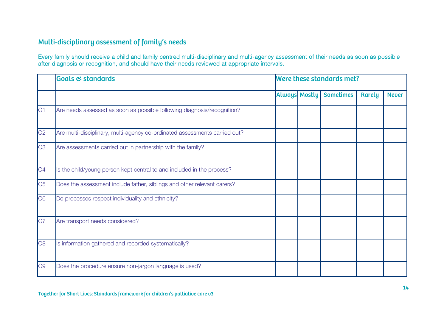### Multi-disciplinary assessment of family's needs

Every family should receive a child and family centred multi-disciplinary and multi-agency assessment of their needs as soon as possible after diagnosis or recognition, and should have their needs reviewed at appropriate intervals.

|                | <b>Goals &amp; standards</b>                                               |                      | Were these standards met? |               |              |
|----------------|----------------------------------------------------------------------------|----------------------|---------------------------|---------------|--------------|
|                |                                                                            | <b>Always Mostly</b> | <b>Sometimes</b>          | <b>Rarely</b> | <b>Never</b> |
| C1             | Are needs assessed as soon as possible following diagnosis/recognition?    |                      |                           |               |              |
| C <sub>2</sub> | Are multi-disciplinary, multi-agency co-ordinated assessments carried out? |                      |                           |               |              |
| C <sub>3</sub> | Are assessments carried out in partnership with the family?                |                      |                           |               |              |
| C4             | Is the child/young person kept central to and included in the process?     |                      |                           |               |              |
| C <sub>5</sub> | Does the assessment include father, siblings and other relevant carers?    |                      |                           |               |              |
| C6             | Do processes respect individuality and ethnicity?                          |                      |                           |               |              |
| C7             | Are transport needs considered?                                            |                      |                           |               |              |
| C <sub>8</sub> | Is information gathered and recorded systematically?                       |                      |                           |               |              |
| C <sub>9</sub> | Does the procedure ensure non-jargon language is used?                     |                      |                           |               |              |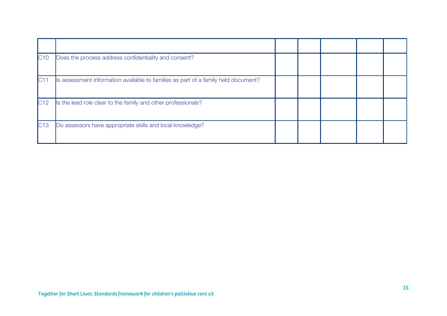| C10 | Does the process address confidentiality and consent?                              |  |  |  |
|-----|------------------------------------------------------------------------------------|--|--|--|
| C11 | Is assessment information available to families as part of a family held document? |  |  |  |
| C12 | Is the lead role clear to the family and other professionals?                      |  |  |  |
| C13 | Do assessors have appropriate skills and local knowledge?                          |  |  |  |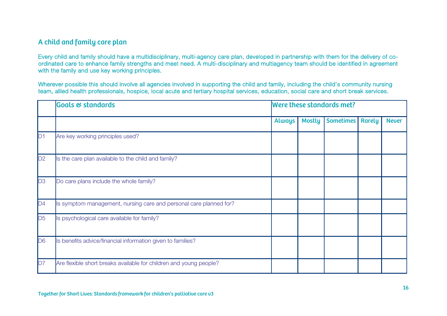### A child and family care plan

Every child and family should have a multidisciplinary, multi-agency care plan, developed in partnership with them for the delivery of coordinated care to enhance family strengths and meet need. A multi-disciplinary and multiagency team should be identified in agreement with the family and use key working principles.

Wherever possible this should involve all agencies involved in supporting the child and family, including the child's community nursing team, allied health professionals, hospice, local acute and tertiary hospital services, education, social care and short break services.

|                | <b>Goals &amp; standards</b>                                       |               |               | Were these standards met?<br><b>Sometimes</b><br><b>Rarely</b> |  |              |  |
|----------------|--------------------------------------------------------------------|---------------|---------------|----------------------------------------------------------------|--|--------------|--|
|                |                                                                    | <b>Always</b> | <b>Mostly</b> |                                                                |  | <b>Never</b> |  |
| D1             | Are key working principles used?                                   |               |               |                                                                |  |              |  |
| D2             | Is the care plan available to the child and family?                |               |               |                                                                |  |              |  |
| D3             | Do care plans include the whole family?                            |               |               |                                                                |  |              |  |
| D4             | Is symptom management, nursing care and personal care planned for? |               |               |                                                                |  |              |  |
| D <sub>5</sub> | Is psychological care available for family?                        |               |               |                                                                |  |              |  |
| D <sub>6</sub> | Is benefits advice/financial information given to families?        |               |               |                                                                |  |              |  |
| D7             | Are flexible short breaks available for children and young people? |               |               |                                                                |  |              |  |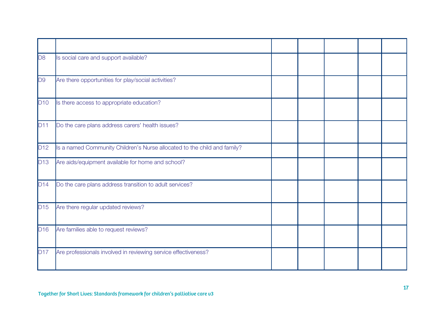| D <sub>8</sub>  | Is social care and support available?                                    |  |  |  |
|-----------------|--------------------------------------------------------------------------|--|--|--|
| D <sub>9</sub>  | Are there opportunities for play/social activities?                      |  |  |  |
| D10             | Is there access to appropriate education?                                |  |  |  |
| <b>D11</b>      | Do the care plans address carers' health issues?                         |  |  |  |
| D <sub>12</sub> | Is a named Community Children's Nurse allocated to the child and family? |  |  |  |
| D <sub>13</sub> | Are aids/equipment available for home and school?                        |  |  |  |
| D14             | Do the care plans address transition to adult services?                  |  |  |  |
| D15             | Are there regular updated reviews?                                       |  |  |  |
| D <sub>16</sub> | Are families able to request reviews?                                    |  |  |  |
| <b>D17</b>      | Are professionals involved in reviewing service effectiveness?           |  |  |  |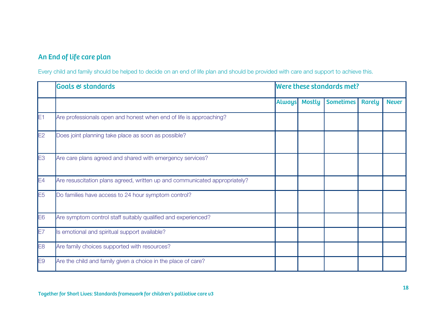## An End of life care plan

Every child and family should be helped to decide on an end of life plan and should be provided with care and support to achieve this.

|                | <b>Goals &amp; standards</b>                                               |               | Were these standards met?<br><b>Sometimes</b><br><b>Mostly</b><br><b>Rarely</b> |  |  |              |
|----------------|----------------------------------------------------------------------------|---------------|---------------------------------------------------------------------------------|--|--|--------------|
|                |                                                                            | <b>Always</b> |                                                                                 |  |  | <b>Never</b> |
| E1             | Are professionals open and honest when end of life is approaching?         |               |                                                                                 |  |  |              |
| E <sub>2</sub> | Does joint planning take place as soon as possible?                        |               |                                                                                 |  |  |              |
| E <sub>3</sub> | Are care plans agreed and shared with emergency services?                  |               |                                                                                 |  |  |              |
| E4             | Are resuscitation plans agreed, written up and communicated appropriately? |               |                                                                                 |  |  |              |
| E <sub>5</sub> | Do families have access to 24 hour symptom control?                        |               |                                                                                 |  |  |              |
| E6             | Are symptom control staff suitably qualified and experienced?              |               |                                                                                 |  |  |              |
| E7             | Is emotional and spiritual support available?                              |               |                                                                                 |  |  |              |
| E <sub>8</sub> | Are family choices supported with resources?                               |               |                                                                                 |  |  |              |
| E9             | Are the child and family given a choice in the place of care?              |               |                                                                                 |  |  |              |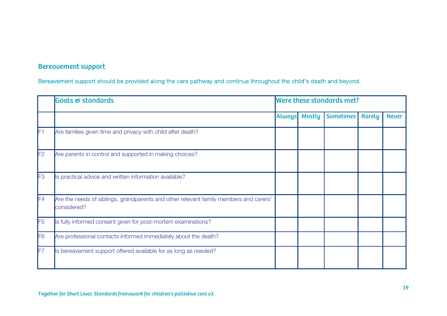## Bereavement support

Bereavement support should be provided along the care pathway and continue throughout the child's death and beyond.

|                | <b>Goals &amp; standards</b>                                                                         |               | Were these standards met? |                  |               |              |  |  |  |  |
|----------------|------------------------------------------------------------------------------------------------------|---------------|---------------------------|------------------|---------------|--------------|--|--|--|--|
|                |                                                                                                      | <b>Always</b> | <b>Mostly</b>             | <b>Sometimes</b> | <b>Rarely</b> | <b>Never</b> |  |  |  |  |
| F1             | Are families given time and privacy with child after death?                                          |               |                           |                  |               |              |  |  |  |  |
| F2             | Are parents in control and supported in making choices?                                              |               |                           |                  |               |              |  |  |  |  |
| F3             | Is practical advice and written information available?                                               |               |                           |                  |               |              |  |  |  |  |
| F4             | Are the needs of siblings, grandparents and other relevant family members and carers'<br>considered? |               |                           |                  |               |              |  |  |  |  |
| F <sub>5</sub> | Is fully informed consent given for post-mortem examinations?                                        |               |                           |                  |               |              |  |  |  |  |
| F6             | Are professional contacts informed immediately about the death?                                      |               |                           |                  |               |              |  |  |  |  |
| lF7            | Is bereavement support offered available for as long as needed?                                      |               |                           |                  |               |              |  |  |  |  |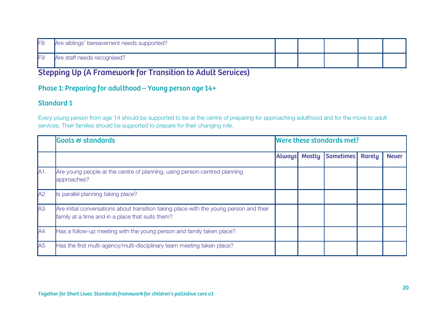| IF <sub>8</sub> | Are siblings' bereavement needs supported? |  |  |  |
|-----------------|--------------------------------------------|--|--|--|
| IF9             | Are staff needs recognised?                |  |  |  |

## Stepping Up (A Framework for Transition to Adult Services)

### Phase 1: Preparing for adulthood – Young person age 14+

### Standard 1

Every young person from age 14 should be supported to be at the centre of preparing for approaching adulthood and for the move to adult services. Their families should be supported to prepare for their changing role.

|                | <b>Goals &amp; standards</b>                                                                                                                | Were these standards met? |               |                  |        |              |  |
|----------------|---------------------------------------------------------------------------------------------------------------------------------------------|---------------------------|---------------|------------------|--------|--------------|--|
|                |                                                                                                                                             | <b>Always</b>             | <b>Mostly</b> | <b>Sometimes</b> | Rarely | <b>Never</b> |  |
| A <sub>1</sub> | Are young people at the centre of planning, using person-centred planning<br>approaches?                                                    |                           |               |                  |        |              |  |
| A2             | Is parallel planning taking place?                                                                                                          |                           |               |                  |        |              |  |
| A3             | Are initial conversations about transition taking place with the young person and their<br>family at a time and in a place that suits them? |                           |               |                  |        |              |  |
| AA             | Has a follow-up meeting with the young person and family taken place?                                                                       |                           |               |                  |        |              |  |
| A <sub>5</sub> | Has the first multi-agency/multi-disciplinary team meeting taken place?                                                                     |                           |               |                  |        |              |  |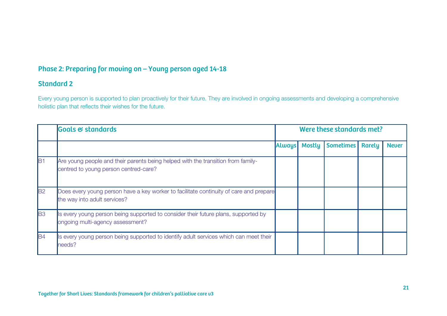### Phase 2: Preparing for moving on – Young person aged 14-18

### Standard 2

Every young person is supported to plan proactively for their future. They are involved in ongoing assessments and developing a comprehensive holistic plan that reflects their wishes for the future.

|                | <b>Goals &amp; standards</b>                                                                                              | Were these standards met? |                      |                  |               |              |  |
|----------------|---------------------------------------------------------------------------------------------------------------------------|---------------------------|----------------------|------------------|---------------|--------------|--|
|                |                                                                                                                           |                           | <b>Always</b> Mostly | <b>Sometimes</b> | <b>Rarely</b> | <b>Never</b> |  |
| lB1            | Are young people and their parents being helped with the transition from family-<br>centred to young person centred-care? |                           |                      |                  |               |              |  |
| B <sub>2</sub> | Does every young person have a key worker to facilitate continuity of care and prepare<br>the way into adult services?    |                           |                      |                  |               |              |  |
| <b>B3</b>      | Is every young person being supported to consider their future plans, supported by<br>ongoing multi-agency assessment?    |                           |                      |                  |               |              |  |
| <b>B4</b>      | Is every young person being supported to identify adult services which can meet their<br>needs?                           |                           |                      |                  |               |              |  |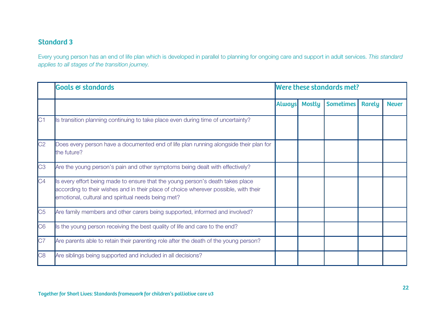### Standard 3

Every young person has an end of life plan which is developed in parallel to planning for ongoing care and support in adult services. This standard applies to all stages of the transition journey.

|                | <b>Goals &amp; standards</b>                                                                                                                                                                                                 | Were these standards met? |               |                  |               |              |  |  |
|----------------|------------------------------------------------------------------------------------------------------------------------------------------------------------------------------------------------------------------------------|---------------------------|---------------|------------------|---------------|--------------|--|--|
|                |                                                                                                                                                                                                                              | <b>Always</b>             | <b>Mostly</b> | <b>Sometimes</b> | <b>Rarely</b> | <b>Never</b> |  |  |
| C1             | Is transition planning continuing to take place even during time of uncertainty?                                                                                                                                             |                           |               |                  |               |              |  |  |
| C <sub>2</sub> | Does every person have a documented end of life plan running alongside their plan for<br>the future?                                                                                                                         |                           |               |                  |               |              |  |  |
| C <sub>3</sub> | Are the young person's pain and other symptoms being dealt with effectively?                                                                                                                                                 |                           |               |                  |               |              |  |  |
| C4             | Is every effort being made to ensure that the young person's death takes place<br>according to their wishes and in their place of choice wherever possible, with their<br>emotional, cultural and spiritual needs being met? |                           |               |                  |               |              |  |  |
| C <sub>5</sub> | Are family members and other carers being supported, informed and involved?                                                                                                                                                  |                           |               |                  |               |              |  |  |
| C6             | Is the young person receiving the best quality of life and care to the end?                                                                                                                                                  |                           |               |                  |               |              |  |  |
| C7             | Are parents able to retain their parenting role after the death of the young person?                                                                                                                                         |                           |               |                  |               |              |  |  |
| C <sub>8</sub> | Are siblings being supported and included in all decisions?                                                                                                                                                                  |                           |               |                  |               |              |  |  |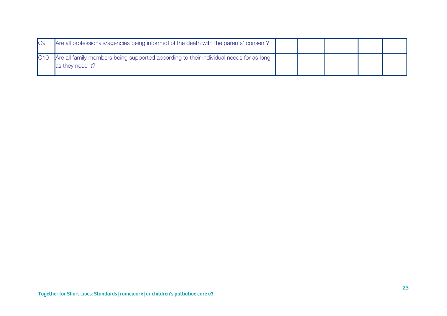| IC <sub>9</sub> | Are all professionals/agencies being informed of the death with the parents' consent?                      |  |  |  |
|-----------------|------------------------------------------------------------------------------------------------------------|--|--|--|
| <b>IC10</b>     | Are all family members being supported according to their individual needs for as long<br>as they need it? |  |  |  |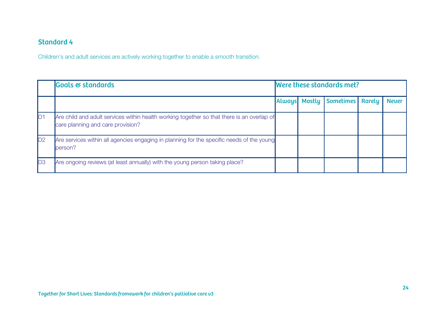### Standard 4

Children's and adult services are actively working together to enable a smooth transition.

|                | <b>Goals &amp; standards</b>                                                                                                    | Were these standards met? |        |                  |  |              |  |
|----------------|---------------------------------------------------------------------------------------------------------------------------------|---------------------------|--------|------------------|--|--------------|--|
|                |                                                                                                                                 | <b>Always</b>             | Mostly | Sometimes Rarely |  | <b>Never</b> |  |
| D1             | Are child and adult services within health working together so that there is an overlap of<br>care planning and care provision? |                           |        |                  |  |              |  |
| D2             | Are services within all agencies engaging in planning for the specific needs of the young<br>person?                            |                           |        |                  |  |              |  |
| D <sub>3</sub> | Are ongoing reviews (at least annually) with the young person taking place?                                                     |                           |        |                  |  |              |  |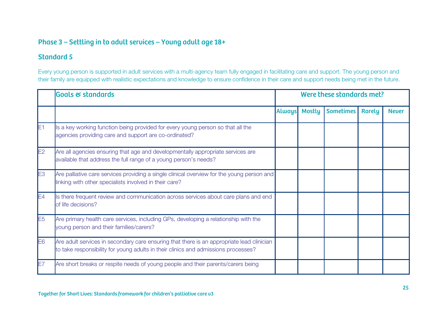### Phase 3 – Settling in to adult services – Young adult age 18+

### Standard 5

Every young person is supported in adult services with a multi-agency team fully engaged in facilitating care and support. The young person and their family are equipped with realistic expectations and knowledge to ensure confidence in their care and support needs being met in the future.

|                | <b>Goals &amp; standards</b>                                                                                                                                                    | Were these standards met? |               |                  |               |              |  |  |
|----------------|---------------------------------------------------------------------------------------------------------------------------------------------------------------------------------|---------------------------|---------------|------------------|---------------|--------------|--|--|
|                |                                                                                                                                                                                 | <b>Always</b>             | <b>Mostly</b> | <b>Sometimes</b> | <b>Rarely</b> | <b>Never</b> |  |  |
| E <sub>1</sub> | Is a key working function being provided for every young person so that all the<br>agencies providing care and support are co-ordinated?                                        |                           |               |                  |               |              |  |  |
| E2             | Are all agencies ensuring that age and developmentally appropriate services are<br>available that address the full range of a young person's needs?                             |                           |               |                  |               |              |  |  |
| E <sub>3</sub> | Are palliative care services providing a single clinical overview for the young person and<br>linking with other specialists involved in their care?                            |                           |               |                  |               |              |  |  |
| E4             | Is there frequent review and communication across services about care plans and end<br>of life decisions?                                                                       |                           |               |                  |               |              |  |  |
| E <sub>5</sub> | Are primary health care services, including GPs, developing a relationship with the<br>young person and their families/carers?                                                  |                           |               |                  |               |              |  |  |
| E <sub>6</sub> | Are adult services in secondary care ensuring that there is an appropriate lead clinician<br>to take responsibility for young adults in their clinics and admissions processes? |                           |               |                  |               |              |  |  |
| lE7            | Are short breaks or respite needs of young people and their parents/carers being                                                                                                |                           |               |                  |               |              |  |  |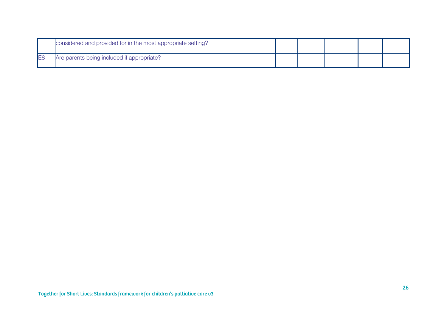|                | considered and provided for in the most appropriate setting? |  |  |  |
|----------------|--------------------------------------------------------------|--|--|--|
| E <sub>8</sub> | Are parents being included if appropriate?                   |  |  |  |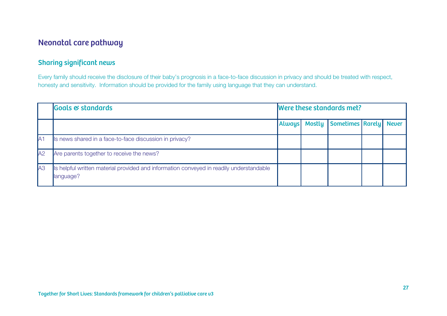## Neonatal care pathway

### Sharing significant news

Every family should receive the disclosure of their baby's prognosis in a face-to-face discussion in privacy and should be treated with respect, honesty and sensitivity. Information should be provided for the family using language that they can understand.

|     | <b>Goals &amp; standards</b>                                                                         | Were these standards met? |               |                        |  |  |  |  |  |
|-----|------------------------------------------------------------------------------------------------------|---------------------------|---------------|------------------------|--|--|--|--|--|
|     |                                                                                                      | <b>Always</b>             | <b>Mostly</b> | Sometimes Rarely Never |  |  |  |  |  |
| IA1 | Is news shared in a face-to-face discussion in privacy?                                              |                           |               |                        |  |  |  |  |  |
| A2  | Are parents together to receive the news?                                                            |                           |               |                        |  |  |  |  |  |
| A3  | Is helpful written material provided and information conveyed in readily understandable<br>language? |                           |               |                        |  |  |  |  |  |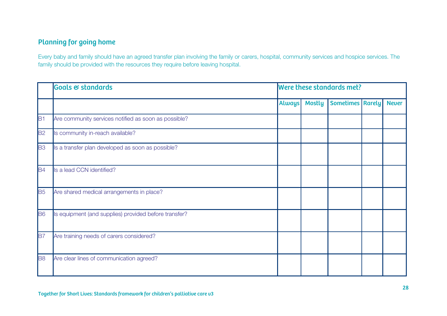## Planning for going home

Every baby and family should have an agreed transfer plan involving the family or carers, hospital, community services and hospice services. The family should be provided with the resources they require before leaving hospital.

|           | <b>Goals &amp; standards</b>                          |               |               | Were these standards met? |              |
|-----------|-------------------------------------------------------|---------------|---------------|---------------------------|--------------|
|           |                                                       | <b>Always</b> | <b>Mostly</b> | <b>Sometimes Rarely</b>   | <b>Never</b> |
| B1        | Are community services notified as soon as possible?  |               |               |                           |              |
| <b>B2</b> | Is community in-reach available?                      |               |               |                           |              |
| <b>B3</b> | Is a transfer plan developed as soon as possible?     |               |               |                           |              |
| <b>B4</b> | Is a lead CCN identified?                             |               |               |                           |              |
| <b>B</b>  | Are shared medical arrangements in place?             |               |               |                           |              |
| <b>B6</b> | Is equipment (and supplies) provided before transfer? |               |               |                           |              |
| <b>B7</b> | Are training needs of carers considered?              |               |               |                           |              |
| <b>B8</b> | Are clear lines of communication agreed?              |               |               |                           |              |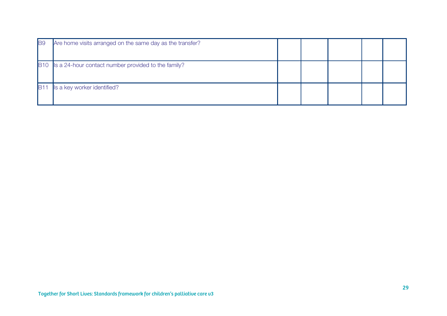| <b>B</b> 9 | Are home visits arranged on the same day as the transfer? |  |  |  |
|------------|-----------------------------------------------------------|--|--|--|
|            | B10 Is a 24-hour contact number provided to the family?   |  |  |  |
|            | Is a key worker identified?                               |  |  |  |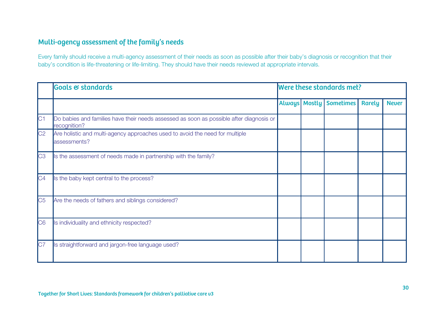### Multi-agency assessment of the family's needs

Every family should receive a multi-agency assessment of their needs as soon as possible after their baby's diagnosis or recognition that their baby's condition is life-threatening or life-limiting. They should have their needs reviewed at appropriate intervals.

|                | <b>Goals &amp; standards</b>                                                                            | Were these standards met? |  |                             |               |              |  |  |
|----------------|---------------------------------------------------------------------------------------------------------|---------------------------|--|-----------------------------|---------------|--------------|--|--|
|                |                                                                                                         |                           |  | Always   Mostly   Sometimes | <b>Rarely</b> | <b>Never</b> |  |  |
| C1             | Do babies and families have their needs assessed as soon as possible after diagnosis or<br>recognition? |                           |  |                             |               |              |  |  |
| C <sub>2</sub> | Are holistic and multi-agency approaches used to avoid the need for multiple<br>assessments?            |                           |  |                             |               |              |  |  |
| C <sub>3</sub> | Is the assessment of needs made in partnership with the family?                                         |                           |  |                             |               |              |  |  |
| C <sub>4</sub> | Is the baby kept central to the process?                                                                |                           |  |                             |               |              |  |  |
| C <sub>5</sub> | Are the needs of fathers and siblings considered?                                                       |                           |  |                             |               |              |  |  |
| CG             | Is individuality and ethnicity respected?                                                               |                           |  |                             |               |              |  |  |
| C7             | Is straightforward and jargon-free language used?                                                       |                           |  |                             |               |              |  |  |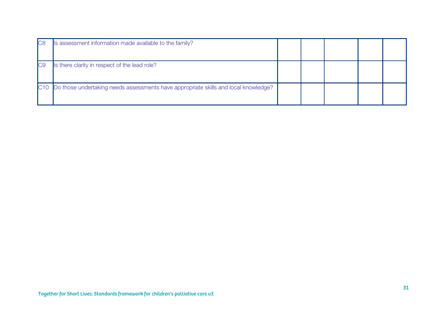| C8  | Is assessment information made available to the family?                                 |  |  |  |
|-----|-----------------------------------------------------------------------------------------|--|--|--|
| IC9 | Is there clarity in respect of the lead role?                                           |  |  |  |
|     | C10 Do those undertaking needs assessments have appropriate skills and local knowledge? |  |  |  |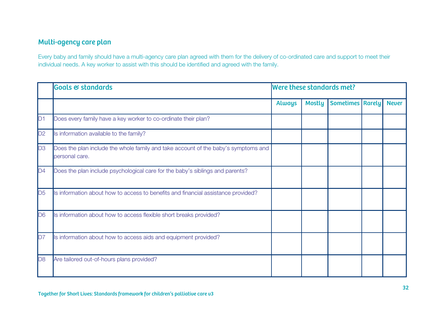## Multi-agency care plan

Every baby and family should have a multi-agency care plan agreed with them for the delivery of co-ordinated care and support to meet their individual needs. A key worker to assist with this should be identified and agreed with the family.

|                | Goals & standards                                                                                    | Were these standards met? |               |                         |  |              |  |  |
|----------------|------------------------------------------------------------------------------------------------------|---------------------------|---------------|-------------------------|--|--------------|--|--|
|                |                                                                                                      | <b>Always</b>             | <b>Mostly</b> | <b>Sometimes Rarely</b> |  | <b>Never</b> |  |  |
| D1             | Does every family have a key worker to co-ordinate their plan?                                       |                           |               |                         |  |              |  |  |
| D2             | Is information available to the family?                                                              |                           |               |                         |  |              |  |  |
| D3             | Does the plan include the whole family and take account of the baby's symptoms and<br>personal care. |                           |               |                         |  |              |  |  |
| D4             | Does the plan include psychological care for the baby's siblings and parents?                        |                           |               |                         |  |              |  |  |
| D <sub>5</sub> | Is information about how to access to benefits and financial assistance provided?                    |                           |               |                         |  |              |  |  |
| D <sub>6</sub> | Is information about how to access flexible short breaks provided?                                   |                           |               |                         |  |              |  |  |
| D7             | Is information about how to access aids and equipment provided?                                      |                           |               |                         |  |              |  |  |
| D <sub>8</sub> | Are tailored out-of-hours plans provided?                                                            |                           |               |                         |  |              |  |  |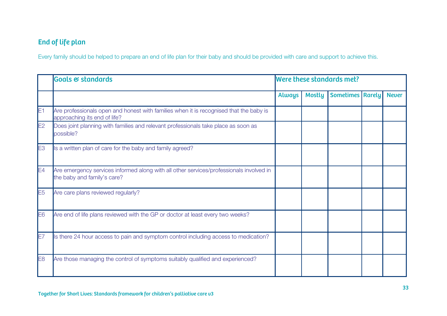## End of life plan

Every family should be helped to prepare an end of life plan for their baby and should be provided with care and support to achieve this.

|                | Goals & standards                                                                                                      | Were these standards met? |               |                         |  |              |  |  |
|----------------|------------------------------------------------------------------------------------------------------------------------|---------------------------|---------------|-------------------------|--|--------------|--|--|
|                |                                                                                                                        | <b>Always</b>             | <b>Mostly</b> | <b>Sometimes Rarely</b> |  | <b>Never</b> |  |  |
| E1             | Are professionals open and honest with families when it is recognised that the baby is<br>approaching its end of life? |                           |               |                         |  |              |  |  |
| E2             | Does joint planning with families and relevant professionals take place as soon as<br>possible?                        |                           |               |                         |  |              |  |  |
| E <sub>3</sub> | Is a written plan of care for the baby and family agreed?                                                              |                           |               |                         |  |              |  |  |
| E4             | Are emergency services informed along with all other services/professionals involved in<br>the baby and family's care? |                           |               |                         |  |              |  |  |
| E <sub>5</sub> | Are care plans reviewed regularly?                                                                                     |                           |               |                         |  |              |  |  |
| E6             | Are end of life plans reviewed with the GP or doctor at least every two weeks?                                         |                           |               |                         |  |              |  |  |
| E7             | Is there 24 hour access to pain and symptom control including access to medication?                                    |                           |               |                         |  |              |  |  |
| E8             | Are those managing the control of symptoms suitably qualified and experienced?                                         |                           |               |                         |  |              |  |  |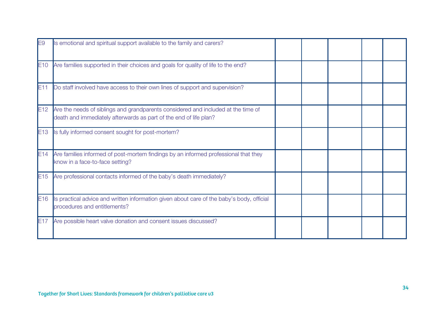| E9              | Is emotional and spiritual support available to the family and carers?                                                                                 |  |  |  |
|-----------------|--------------------------------------------------------------------------------------------------------------------------------------------------------|--|--|--|
| E10             | Are families supported in their choices and goals for quality of life to the end?                                                                      |  |  |  |
| E11             | Do staff involved have access to their own lines of support and supervision?                                                                           |  |  |  |
| E12             | Are the needs of siblings and grandparents considered and included at the time of<br>death and immediately afterwards as part of the end of life plan? |  |  |  |
| E13             | Is fully informed consent sought for post-mortem?                                                                                                      |  |  |  |
| E14             | Are families informed of post-mortem findings by an informed professional that they<br>know in a face-to-face setting?                                 |  |  |  |
| E15             | Are professional contacts informed of the baby's death immediately?                                                                                    |  |  |  |
| E16             | Is practical advice and written information given about care of the baby's body, official<br>procedures and entitlements?                              |  |  |  |
| E <sub>17</sub> | Are possible heart valve donation and consent issues discussed?                                                                                        |  |  |  |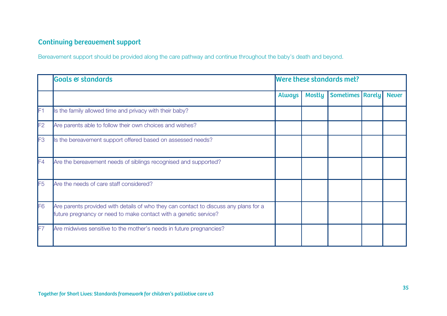## Continuing bereavement support

Bereavement support should be provided along the care pathway and continue throughout the baby's death and beyond.

|                | <b>Goals &amp; standards</b>                                                                                                                             | Were these standards met? |               |                           |  |              |  |  |  |
|----------------|----------------------------------------------------------------------------------------------------------------------------------------------------------|---------------------------|---------------|---------------------------|--|--------------|--|--|--|
|                |                                                                                                                                                          | <b>Always</b>             | <b>Mostly</b> | <b>Sometimes   Rarely</b> |  | <b>Never</b> |  |  |  |
| lF1            | Is the family allowed time and privacy with their baby?                                                                                                  |                           |               |                           |  |              |  |  |  |
| F <sub>2</sub> | Are parents able to follow their own choices and wishes?                                                                                                 |                           |               |                           |  |              |  |  |  |
| F3             | Is the bereavement support offered based on assessed needs?                                                                                              |                           |               |                           |  |              |  |  |  |
| F4             | Are the bereavement needs of siblings recognised and supported?                                                                                          |                           |               |                           |  |              |  |  |  |
| F <sub>5</sub> | Are the needs of care staff considered?                                                                                                                  |                           |               |                           |  |              |  |  |  |
| F <sub>6</sub> | Are parents provided with details of who they can contact to discuss any plans for a<br>future pregnancy or need to make contact with a genetic service? |                           |               |                           |  |              |  |  |  |
| lF7            | Are midwives sensitive to the mother's needs in future pregnancies?                                                                                      |                           |               |                           |  |              |  |  |  |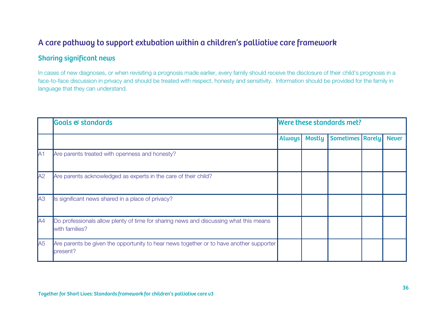## A care pathway to support extubation within a children's palliative care framework

### Sharing significant news

In cases of new diagnoses, or when revisiting a prognosis made earlier, every family should receive the disclosure of their child's prognosis in a face-to-face discussion in privacy and should be treated with respect, honesty and sensitivity. Information should be provided for the family in language that they can understand.

|                | <b>Goals &amp; standards</b>                                                                            | Were these standards met? |               |                         |  |              |  |  |
|----------------|---------------------------------------------------------------------------------------------------------|---------------------------|---------------|-------------------------|--|--------------|--|--|
|                |                                                                                                         | <b>Always</b>             | <b>Mostly</b> | <b>Sometimes Rarely</b> |  | <b>Never</b> |  |  |
| A <sub>1</sub> | Are parents treated with openness and honesty?                                                          |                           |               |                         |  |              |  |  |
| A2             | Are parents acknowledged as experts in the care of their child?                                         |                           |               |                         |  |              |  |  |
| A3             | Is significant news shared in a place of privacy?                                                       |                           |               |                         |  |              |  |  |
| A4             | Do professionals allow plenty of time for sharing news and discussing what this means<br>with families? |                           |               |                         |  |              |  |  |
| A5             | Are parents be given the opportunity to hear news together or to have another supporter<br>present?     |                           |               |                         |  |              |  |  |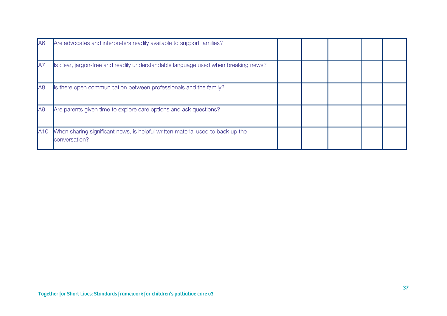| IA6             | Are advocates and interpreters readily available to support families?                           |  |  |  |
|-----------------|-------------------------------------------------------------------------------------------------|--|--|--|
| <b>JA7</b>      | Is clear, jargon-free and readily understandable language used when breaking news?              |  |  |  |
| A8              | Is there open communication between professionals and the family?                               |  |  |  |
| A <sub>9</sub>  | Are parents given time to explore care options and ask questions?                               |  |  |  |
| A <sub>10</sub> | When sharing significant news, is helpful written material used to back up the<br>conversation? |  |  |  |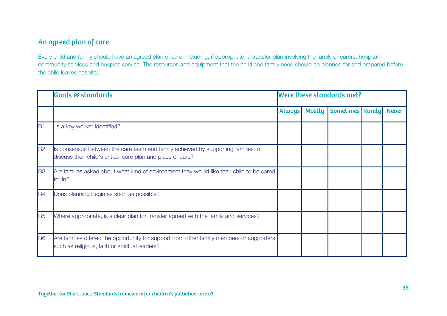## An agreed plan of care

Every child and family should have an agreed plan of care, including, if appropriate, a transfer plan involving the family or carers, hospital, community services and hospice service. The resources and equipment that the child and family need should be planned for and prepared before the child leaves hospital.

|                       | <b>Goals &amp; standards</b>                                                                                                                    | Were these standards met? |               |                         |  |              |  |
|-----------------------|-------------------------------------------------------------------------------------------------------------------------------------------------|---------------------------|---------------|-------------------------|--|--------------|--|
|                       |                                                                                                                                                 | <b>Always</b>             | <b>Mostly</b> | <b>Sometimes Rarely</b> |  | <b>Never</b> |  |
| lB1                   | Is a key worker identified?                                                                                                                     |                           |               |                         |  |              |  |
| B <sub>2</sub>        | Is consensus between the care team and family achieved by supporting families to<br>discuss their child's critical care plan and place of care? |                           |               |                         |  |              |  |
| <b>B3</b>             | Are families asked about what kind of environment they would like their child to be cared<br>for in?                                            |                           |               |                         |  |              |  |
| <b>B4</b>             | Does planning begin as soon as possible?                                                                                                        |                           |               |                         |  |              |  |
| <b>B</b> <sub>5</sub> | Where appropriate, is a clear plan for transfer agreed with the family and services?                                                            |                           |               |                         |  |              |  |
| <b>B</b> 6            | Are families offered the opportunity for support from other family members or supporters<br>such as religious, faith or spiritual leaders?      |                           |               |                         |  |              |  |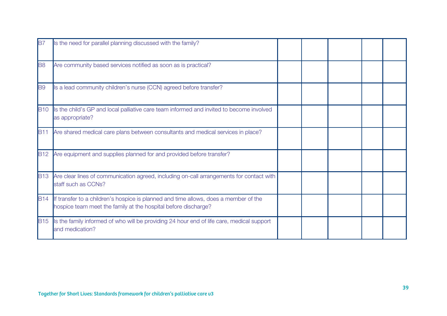| <b>B</b>       | Is the need for parallel planning discussed with the family?                                                                                               |  |  |  |
|----------------|------------------------------------------------------------------------------------------------------------------------------------------------------------|--|--|--|
| B <sub>8</sub> | Are community based services notified as soon as is practical?                                                                                             |  |  |  |
| <b>B</b> 9     | Is a lead community children's nurse (CCN) agreed before transfer?                                                                                         |  |  |  |
| <b>B10</b>     | Is the child's GP and local palliative care team informed and invited to become involved<br>as appropriate?                                                |  |  |  |
|                | B11 Are shared medical care plans between consultants and medical services in place?                                                                       |  |  |  |
|                | B12 Are equipment and supplies planned for and provided before transfer?                                                                                   |  |  |  |
| <b>B13</b>     | Are clear lines of communication agreed, including on-call arrangements for contact with<br>staff such as CCNs?                                            |  |  |  |
|                | B14 If transfer to a children's hospice is planned and time allows, does a member of the<br>hospice team meet the family at the hospital before discharge? |  |  |  |
| <b>B15</b>     | Is the family informed of who will be providing 24 hour end of life care, medical support<br>and medication?                                               |  |  |  |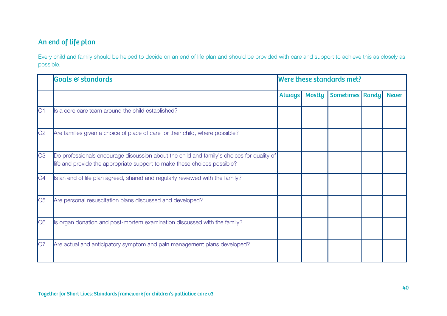## An end of life plan

Every child and family should be helped to decide on an end of life plan and should be provided with care and support to achieve this as closely as possible.

|                        | <b>Goals &amp; standards</b>                                                                                                                                          | Were these standards met? |               |                         |  |              |  |  |
|------------------------|-----------------------------------------------------------------------------------------------------------------------------------------------------------------------|---------------------------|---------------|-------------------------|--|--------------|--|--|
|                        |                                                                                                                                                                       | <b>Always</b>             | <b>Mostly</b> | <b>Sometimes Rarely</b> |  | <b>Never</b> |  |  |
| C1                     | Is a core care team around the child established?                                                                                                                     |                           |               |                         |  |              |  |  |
| C <sub>2</sub>         | Are families given a choice of place of care for their child, where possible?                                                                                         |                           |               |                         |  |              |  |  |
| C <sub>3</sub>         | Do professionals encourage discussion about the child and family's choices for quality of<br>life and provide the appropriate support to make these choices possible? |                           |               |                         |  |              |  |  |
| C4                     | Is an end of life plan agreed, shared and regularly reviewed with the family?                                                                                         |                           |               |                         |  |              |  |  |
| $\overline{\text{C5}}$ | Are personal resuscitation plans discussed and developed?                                                                                                             |                           |               |                         |  |              |  |  |
| C <sub>6</sub>         | Is organ donation and post-mortem examination discussed with the family?                                                                                              |                           |               |                         |  |              |  |  |
| C7                     | Are actual and anticipatory symptom and pain management plans developed?                                                                                              |                           |               |                         |  |              |  |  |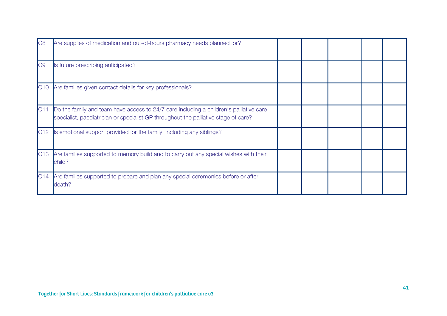| C <sub>8</sub> | Are supplies of medication and out-of-hours pharmacy needs planned for?                                                                                                       |  |  |  |
|----------------|-------------------------------------------------------------------------------------------------------------------------------------------------------------------------------|--|--|--|
| C <sub>9</sub> | Is future prescribing anticipated?                                                                                                                                            |  |  |  |
|                | C10 Are families given contact details for key professionals?                                                                                                                 |  |  |  |
| C11            | Do the family and team have access to 24/7 care including a children's palliative care<br>specialist, paediatrician or specialist GP throughout the palliative stage of care? |  |  |  |
| C12            | Is emotional support provided for the family, including any siblings?                                                                                                         |  |  |  |
|                | C13 Are families supported to memory build and to carry out any special wishes with their<br>child?                                                                           |  |  |  |
|                | C14 Are families supported to prepare and plan any special ceremonies before or after<br>death?                                                                               |  |  |  |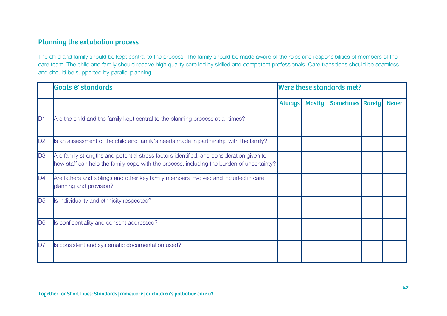### Planning the extubation process

The child and family should be kept central to the process. The family should be made aware of the roles and responsibilities of members of the care team. The child and family should receive high quality care led by skilled and competent professionals. Care transitions should be seamless and should be supported by parallel planning.

|                | Goals & standards                                                                                                                                                                     | Were these standards met? |               |                         |  |              |
|----------------|---------------------------------------------------------------------------------------------------------------------------------------------------------------------------------------|---------------------------|---------------|-------------------------|--|--------------|
|                |                                                                                                                                                                                       | <b>Always</b>             | <b>Mostly</b> | <b>Sometimes Rarely</b> |  | <b>Never</b> |
| D <sub>1</sub> | Are the child and the family kept central to the planning process at all times?                                                                                                       |                           |               |                         |  |              |
| D2             | Is an assessment of the child and family's needs made in partnership with the family?                                                                                                 |                           |               |                         |  |              |
| D3             | Are family strengths and potential stress factors identified, and consideration given to<br>how staff can help the family cope with the process, including the burden of uncertainty? |                           |               |                         |  |              |
| D4             | Are fathers and siblings and other key family members involved and included in care<br>planning and provision?                                                                        |                           |               |                         |  |              |
| D <sub>5</sub> | Is individuality and ethnicity respected?                                                                                                                                             |                           |               |                         |  |              |
| D <sub>6</sub> | Is confidentiality and consent addressed?                                                                                                                                             |                           |               |                         |  |              |
| D7             | Is consistent and systematic documentation used?                                                                                                                                      |                           |               |                         |  |              |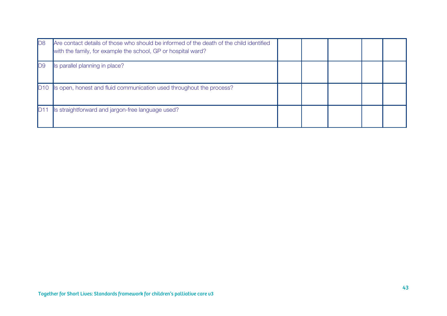| D8  | Are contact details of those who should be informed of the death of the child identified<br>with the family, for example the school, GP or hospital ward? |  |  |  |
|-----|-----------------------------------------------------------------------------------------------------------------------------------------------------------|--|--|--|
| ID9 | Is parallel planning in place?                                                                                                                            |  |  |  |
| D10 | Is open, honest and fluid communication used throughout the process?                                                                                      |  |  |  |
|     | Is straightforward and jargon-free language used?                                                                                                         |  |  |  |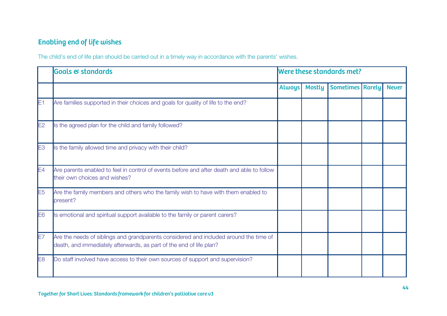## Enabling end of life wishes

The child's end of life plan should be carried out in a timely way in accordance with the parents' wishes.

|                | Goals & standards                                                                                                                                            | Were these standards met? |               |                         |  |              |
|----------------|--------------------------------------------------------------------------------------------------------------------------------------------------------------|---------------------------|---------------|-------------------------|--|--------------|
|                |                                                                                                                                                              | <b>Always</b>             | <b>Mostly</b> | <b>Sometimes Rarely</b> |  | <b>Never</b> |
| E1             | Are families supported in their choices and goals for quality of life to the end?                                                                            |                           |               |                         |  |              |
| E2             | Is the agreed plan for the child and family followed?                                                                                                        |                           |               |                         |  |              |
| E3             | Is the family allowed time and privacy with their child?                                                                                                     |                           |               |                         |  |              |
| E4             | Are parents enabled to feel in control of events before and after death and able to follow<br>their own choices and wishes?                                  |                           |               |                         |  |              |
| E <sub>5</sub> | Are the family members and others who the family wish to have with them enabled to<br>present?                                                               |                           |               |                         |  |              |
| E <sub>6</sub> | Is emotional and spiritual support available to the family or parent carers?                                                                                 |                           |               |                         |  |              |
| lE7            | Are the needs of siblings and grandparents considered and included around the time of<br>death, and immediately afterwards, as part of the end of life plan? |                           |               |                         |  |              |
| E8             | Do staff involved have access to their own sources of support and supervision?                                                                               |                           |               |                         |  |              |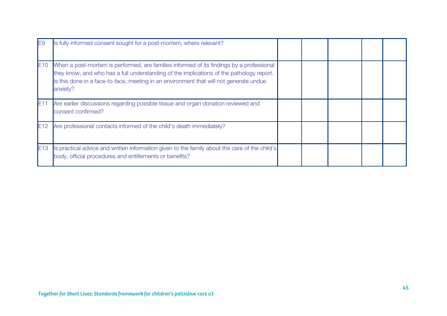|     | Is fully informed consent sought for a post-mortem, where relevant?                                                                                                                                                                                                                        |  |  |  |
|-----|--------------------------------------------------------------------------------------------------------------------------------------------------------------------------------------------------------------------------------------------------------------------------------------------|--|--|--|
| E10 | When a post-mortem is performed, are families informed of its findings by a professional<br>they know, and who has a full understanding of the implications of the pathology report.<br>Is this done in a face-to-face, meeting in an environment that will not generate undue<br>anxiety? |  |  |  |
| E11 | Are earlier discussions regarding possible tissue and organ donation reviewed and<br>consent confirmed?                                                                                                                                                                                    |  |  |  |
| E12 | Are professional contacts informed of the child's death immediately?                                                                                                                                                                                                                       |  |  |  |
| E13 | Is practical advice and written information given to the family about the care of the child's<br>body, official procedures and entitlements or benefits?                                                                                                                                   |  |  |  |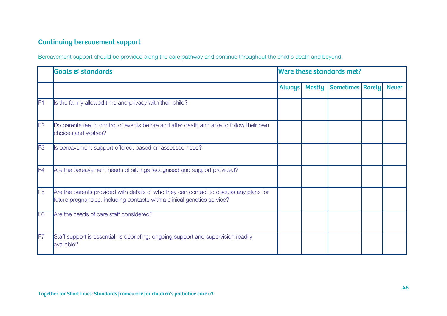## Continuing bereavement support

Bereavement support should be provided along the care pathway and continue throughout the child's death and beyond.

|                | <b>Goals &amp; standards</b>                                                                                                                                       | Were these standards met? |               |                         |  |              |
|----------------|--------------------------------------------------------------------------------------------------------------------------------------------------------------------|---------------------------|---------------|-------------------------|--|--------------|
|                |                                                                                                                                                                    | <b>Always</b>             | <b>Mostly</b> | <b>Sometimes Rarely</b> |  | <b>Never</b> |
| lF1            | Is the family allowed time and privacy with their child?                                                                                                           |                           |               |                         |  |              |
| F2             | Do parents feel in control of events before and after death and able to follow their own<br>choices and wishes?                                                    |                           |               |                         |  |              |
| F <sub>3</sub> | Is bereavement support offered, based on assessed need?                                                                                                            |                           |               |                         |  |              |
| F4             | Are the bereavement needs of siblings recognised and support provided?                                                                                             |                           |               |                         |  |              |
| F <sub>5</sub> | Are the parents provided with details of who they can contact to discuss any plans for<br>future pregnancies, including contacts with a clinical genetics service? |                           |               |                         |  |              |
| F <sub>6</sub> | Are the needs of care staff considered?                                                                                                                            |                           |               |                         |  |              |
| F7             | Staff support is essential. Is debriefing, ongoing support and supervision readily<br>available?                                                                   |                           |               |                         |  |              |